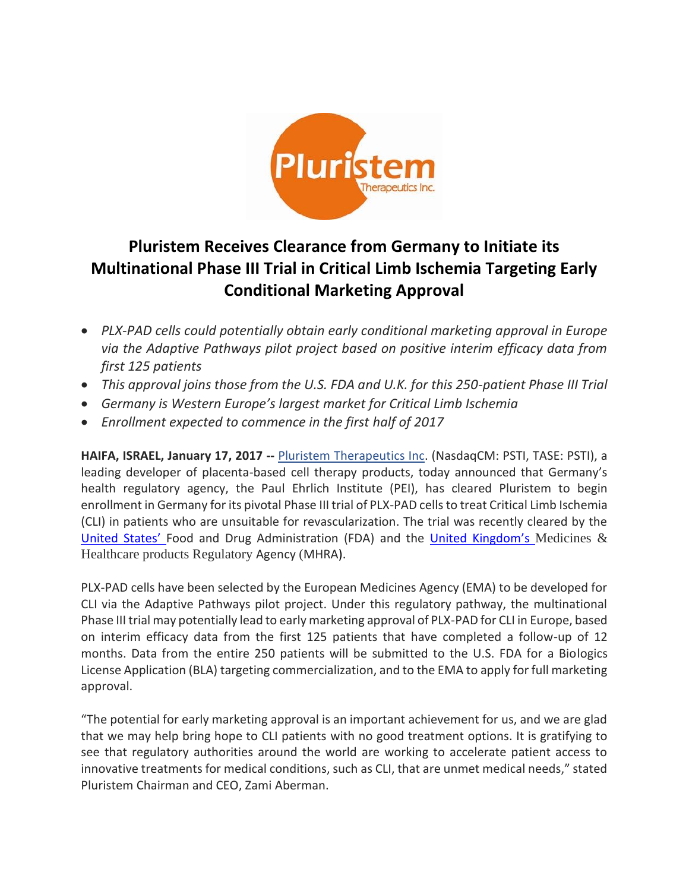

# **Pluristem Receives Clearance from Germany to Initiate its Multinational Phase III Trial in Critical Limb Ischemia Targeting Early Conditional Marketing Approval**

- *PLX-PAD cells could potentially obtain early conditional marketing approval in Europe via the Adaptive Pathways pilot project based on positive interim efficacy data from first 125 patients*
- *This approval joins those from the U.S. FDA and U.K. for this 250-patient Phase III Trial*
- *Germany is Western Europe's largest market for Critical Limb Ischemia*
- *Enrollment expected to commence in the first half of 2017*

**HAIFA, ISRAEL, January 17, 2017 --** [Pluristem Therapeutics Inc.](http://www.pluristem.com/) (NasdaqCM: PSTI, TASE: PSTI), a leading developer of placenta-based cell therapy products, today announced that Germany's health regulatory agency, the Paul Ehrlich Institute (PEI), has cleared Pluristem to begin enrollment in Germany for its pivotal Phase III trial of PLX-PAD cells to treat Critical Limb Ischemia (CLI) in patients who are unsuitable for revascularization. The trial was recently cleared by the [United States](http://www.pluristem.com/wp-content/uploads/2017/01/FDA_CLI_Clearance_final.pdf)' Food and Drug Administration (FDA) and the [United Kingdom](http://www.pluristem.com/wp-content/uploads/2016/11/UK_CLI_Approval_Final_isa.pdf)'s Medicines & Healthcare products Regulatory Agency (MHRA).

PLX-PAD cells have been selected by the European Medicines Agency (EMA) to be developed for CLI via the Adaptive Pathways pilot project. Under this regulatory pathway, the multinational Phase III trial may potentially lead to early marketing approval of PLX-PAD for CLI in Europe, based on interim efficacy data from the first 125 patients that have completed a follow-up of 12 months. Data from the entire 250 patients will be submitted to the U.S. FDA for a Biologics License Application (BLA) targeting commercialization, and to the EMA to apply for full marketing approval.

"The potential for early marketing approval is an important achievement for us, and we are glad that we may help bring hope to CLI patients with no good treatment options. It is gratifying to see that regulatory authorities around the world are working to accelerate patient access to innovative treatments for medical conditions, such as CLI, that are unmet medical needs," stated Pluristem Chairman and CEO, Zami Aberman.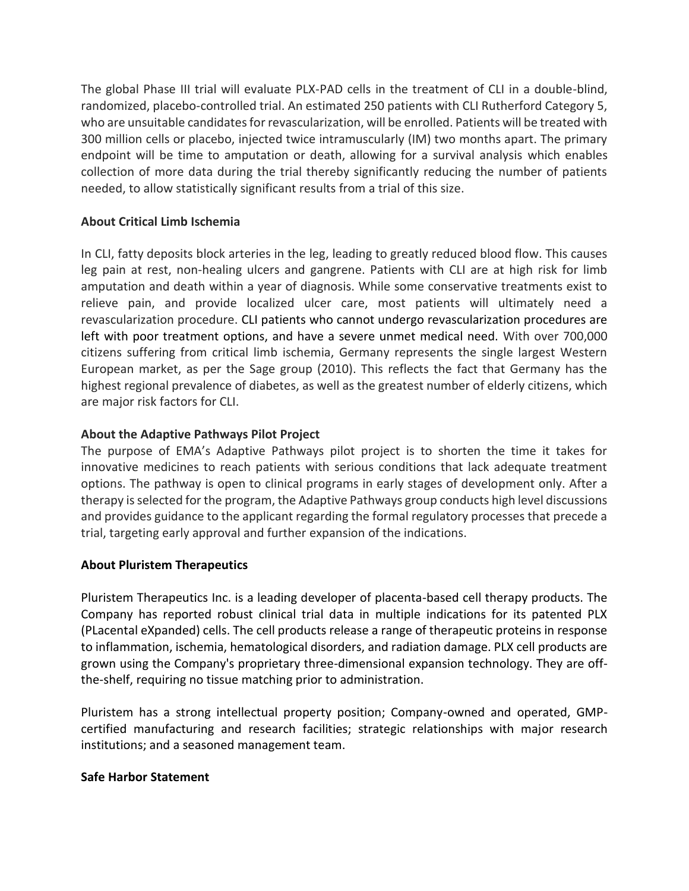The global Phase III trial will evaluate PLX-PAD cells in the treatment of CLI in a double-blind, randomized, placebo-controlled trial. An estimated 250 patients with CLI Rutherford Category 5, who are unsuitable candidates for revascularization, will be enrolled. Patients will be treated with 300 million cells or placebo, injected twice intramuscularly (IM) two months apart. The primary endpoint will be time to amputation or death, allowing for a survival analysis which enables collection of more data during the trial thereby significantly reducing the number of patients needed, to allow statistically significant results from a trial of this size.

## **About Critical Limb Ischemia**

In CLI, fatty deposits block arteries in the leg, leading to greatly reduced blood flow. This causes leg pain at rest, non-healing ulcers and gangrene. Patients with CLI are at high risk for limb amputation and death within a year of diagnosis. While some conservative treatments exist to relieve pain, and provide localized ulcer care, most patients will ultimately need a revascularization procedure. CLI patients who cannot undergo revascularization procedures are left with poor treatment options, and have a severe unmet medical need. With over 700,000 citizens suffering from critical limb ischemia, Germany represents the single largest Western European market, as per the Sage group (2010). This reflects the fact that Germany has the highest regional prevalence of diabetes, as well as the greatest number of elderly citizens, which are major risk factors for CLI.

## **About the Adaptive Pathways Pilot Project**

The purpose of EMA's Adaptive Pathways pilot project is to shorten the time it takes for innovative medicines to reach patients with serious conditions that lack adequate treatment options. The pathway is open to clinical programs in early stages of development only. After a therapy is selected for the program, the Adaptive Pathways group conducts high level discussions and provides guidance to the applicant regarding the formal regulatory processes that precede a trial, targeting early approval and further expansion of the indications.

### **About Pluristem Therapeutics**

Pluristem Therapeutics Inc. is a leading developer of placenta-based cell therapy products. The Company has reported robust clinical trial data in multiple indications for its patented PLX (PLacental eXpanded) cells. The cell products release a range of therapeutic proteins in response to inflammation, ischemia, hematological disorders, and radiation damage. PLX cell products are grown using the Company's proprietary three-dimensional expansion technology. They are offthe-shelf, requiring no tissue matching prior to administration.

Pluristem has a strong intellectual property position; Company-owned and operated, GMPcertified manufacturing and research facilities; strategic relationships with major research institutions; and a seasoned management team.

### **Safe Harbor Statement**